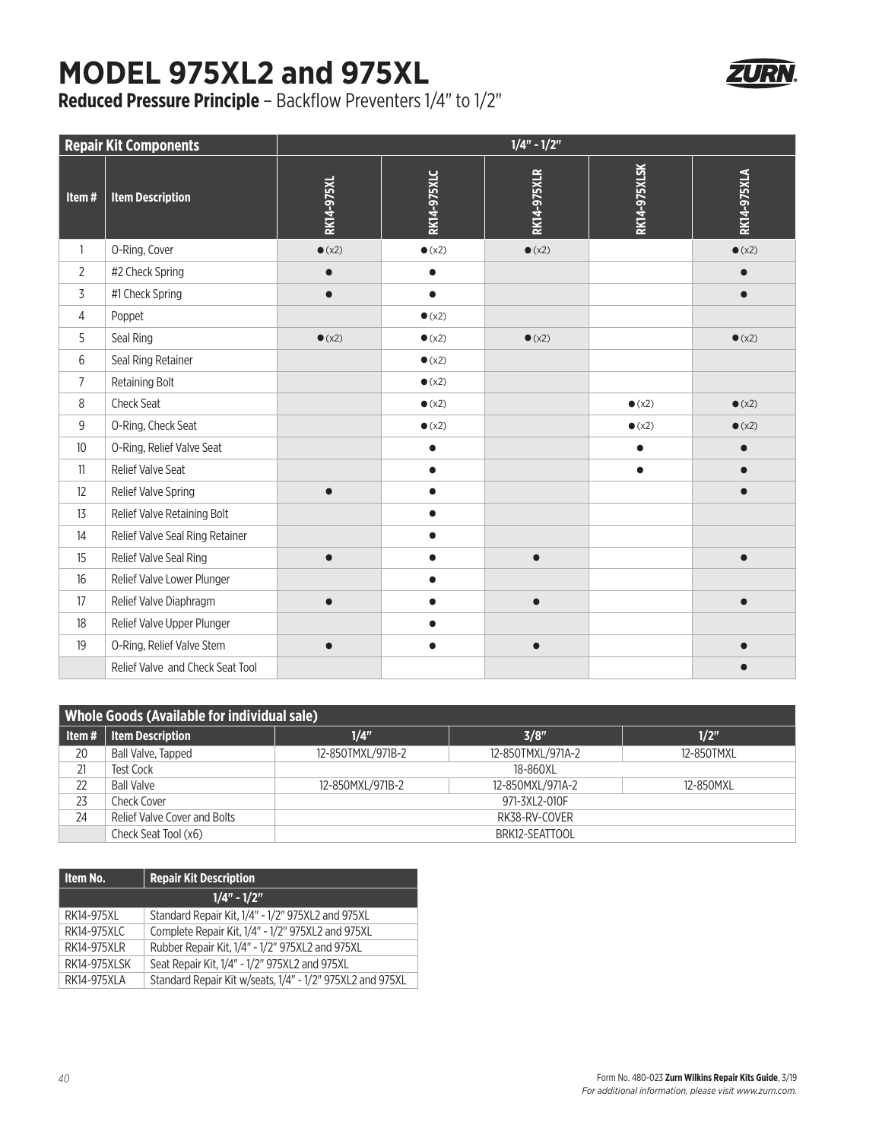## **MODEL 975XL2 and 975XL**

**Reduced Pressure Principle** – Backflow Preventers 1/4" to 1/2"

| <b>Repair Kit Components</b> |                                  | $1/4" - 1/2"$  |                    |                    |                     |                    |  |
|------------------------------|----------------------------------|----------------|--------------------|--------------------|---------------------|--------------------|--|
| Item#                        | <b>Item Description</b>          | RK14-975XL     | <b>RK14-975XLC</b> | <b>RK14-975XLR</b> | <b>RK14-975XLSK</b> | <b>RK14-975XLA</b> |  |
| $\mathbf{1}$                 | O-Ring, Cover                    | $\bullet$ (x2) | $\bullet$ (x2)     | $\bullet$ (x2)     |                     | $\bullet$ (x2)     |  |
| 2                            | #2 Check Spring                  |                | $\bullet$          |                    |                     |                    |  |
| 3                            | #1 Check Spring                  | $\bullet$      | $\bullet$          |                    |                     |                    |  |
| 4                            | Poppet                           |                | $\bullet$ (x2)     |                    |                     |                    |  |
| 5                            | Seal Ring                        | $\bullet$ (x2) | $\bullet$ (x2)     | $\bullet$ (x2)     |                     | $\bullet$ (x2)     |  |
| 6                            | Seal Ring Retainer               |                | $\bullet$ (x2)     |                    |                     |                    |  |
| $\overline{7}$               | Retaining Bolt                   |                | $\bullet$ (x2)     |                    |                     |                    |  |
| 8                            | <b>Check Seat</b>                |                | $\bullet$ (x2)     |                    | $\bullet$ (x2)      | $\bullet$ (x2)     |  |
| 9                            | O-Ring, Check Seat               |                | $\bullet$ (x2)     |                    | $\bullet$ (x2)      | $\bullet$ (x2)     |  |
| 10                           | O-Ring, Relief Valve Seat        |                | $\bullet$          |                    | $\bullet$           |                    |  |
| 11                           | Relief Valve Seat                |                | $\bullet$          |                    | $\bullet$           |                    |  |
| 12                           | Relief Valve Spring              |                | $\bullet$          |                    |                     |                    |  |
| 13                           | Relief Valve Retaining Bolt      |                | $\bullet$          |                    |                     |                    |  |
| 14                           | Relief Valve Seal Ring Retainer  |                |                    |                    |                     |                    |  |
| 15                           | Relief Valve Seal Ring           |                |                    |                    |                     |                    |  |
| 16                           | Relief Valve Lower Plunger       |                |                    |                    |                     |                    |  |
| 17                           | Relief Valve Diaphragm           |                | $\bullet$          |                    |                     |                    |  |
| 18                           | Relief Valve Upper Plunger       |                |                    |                    |                     |                    |  |
| 19                           | O-Ring, Relief Valve Stem        |                | $\bullet$          |                    |                     |                    |  |
|                              | Relief Valve and Check Seat Tool |                |                    |                    |                     |                    |  |

| <b>Whole Goods (Available for individual sale)</b> |                              |                   |                   |            |  |  |  |
|----------------------------------------------------|------------------------------|-------------------|-------------------|------------|--|--|--|
| ltem#                                              | <b>Item Description</b>      | 1/4"              | 3/8"              | 1/2"       |  |  |  |
| 20                                                 | Ball Valve, Tapped           | 12-850TMXL/971B-2 | 12-850TMXL/971A-2 | 12-850TMXL |  |  |  |
| 21                                                 | <b>Test Cock</b>             | 18-860XL          |                   |            |  |  |  |
| 22                                                 | <b>Ball Valve</b>            | 12-850MXL/971B-2  | 12-850MXL/971A-2  | 12-850MXL  |  |  |  |
| 23                                                 | Check Cover                  | 971-3XL2-010F     |                   |            |  |  |  |
| 24                                                 | Relief Valve Cover and Bolts | RK38-RV-COVER     |                   |            |  |  |  |
|                                                    | Check Seat Tool (x6)         | BRK12-SEATTOOL    |                   |            |  |  |  |

| Item No.            | <b>Repair Kit Description</b>                             |  |  |  |
|---------------------|-----------------------------------------------------------|--|--|--|
| $1/4" - 1/2"$       |                                                           |  |  |  |
| RK14-975XI          | Standard Repair Kit, 1/4" - 1/2" 975XL2 and 975XL         |  |  |  |
| RK14-975XLC         | Complete Repair Kit, 1/4" - 1/2" 975XL2 and 975XL         |  |  |  |
| <b>RK14-975XLR</b>  | Rubber Repair Kit, 1/4" - 1/2" 975XL2 and 975XL           |  |  |  |
| <b>RK14-975XLSK</b> | Seat Repair Kit, 1/4" - 1/2" 975XL2 and 975XL             |  |  |  |
| RK14-975XLA         | Standard Repair Kit w/seats, 1/4" - 1/2" 975XL2 and 975XL |  |  |  |

ZURN